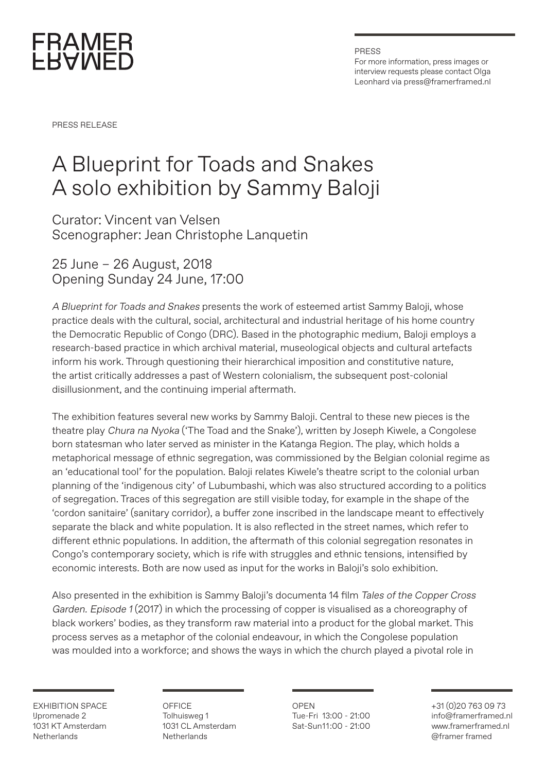

PRESS For more information, press images or interview requests please contact Olga Leonhard via press@framerframed.nl

PRESS RELEASE

## A Blueprint for Toads and Snakes A solo exhibition by Sammy Baloji

Curator: Vincent van Velsen Scenographer: Jean Christophe Lanquetin

25 June – 26 August, 2018 Opening Sunday 24 June, 17:00

A Blueprint for Toads and Snakes presents the work of esteemed artist Sammy Baloji, whose practice deals with the cultural, social, architectural and industrial heritage of his home country the Democratic Republic of Congo (DRC). Based in the photographic medium, Baloji employs a research-based practice in which archival material, museological objects and cultural artefacts inform his work. Through questioning their hierarchical imposition and constitutive nature, the artist critically addresses a past of Western colonialism, the subsequent post-colonial disillusionment, and the continuing imperial aftermath.

The exhibition features several new works by Sammy Baloji. Central to these new pieces is the theatre play Chura na Nyoka ('The Toad and the Snake'), written by Joseph Kiwele, a Congolese born statesman who later served as minister in the Katanga Region. The play, which holds a metaphorical message of ethnic segregation, was commissioned by the Belgian colonial regime as an 'educational tool' for the population. Baloji relates Kiwele's theatre script to the colonial urban planning of the 'indigenous city' of Lubumbashi, which was also structured according to a politics of segregation. Traces of this segregation are still visible today, for example in the shape of the 'cordon sanitaire' (sanitary corridor), a buffer zone inscribed in the landscape meant to effectively separate the black and white population. It is also reflected in the street names, which refer to different ethnic populations. In addition, the aftermath of this colonial segregation resonates in Congo's contemporary society, which is rife with struggles and ethnic tensions, intensified by economic interests. Both are now used as input for the works in Baloji's solo exhibition.

Also presented in the exhibition is Sammy Baloji's documenta 14 film Tales of the Copper Cross Garden. Episode 1 (2017) in which the processing of copper is visualised as a choreography of black workers' bodies, as they transform raw material into a product for the global market. This process serves as a metaphor of the colonial endeavour, in which the Congolese population was moulded into a workforce; and shows the ways in which the church played a pivotal role in

EXHIBITION SPACE IJpromenade 2 1031 KT Amsterdam **Netherlands** 

OFFICE Tolhuisweg 1 1031 CL Amsterdam **Netherlands** 

OPEN Tue-Fri 13:00 - 21:00 Sat-Sun11:00 - 21:00

+31 (0)20 763 09 73 info@framerframed.nl www.framerframed.nl @framer framed